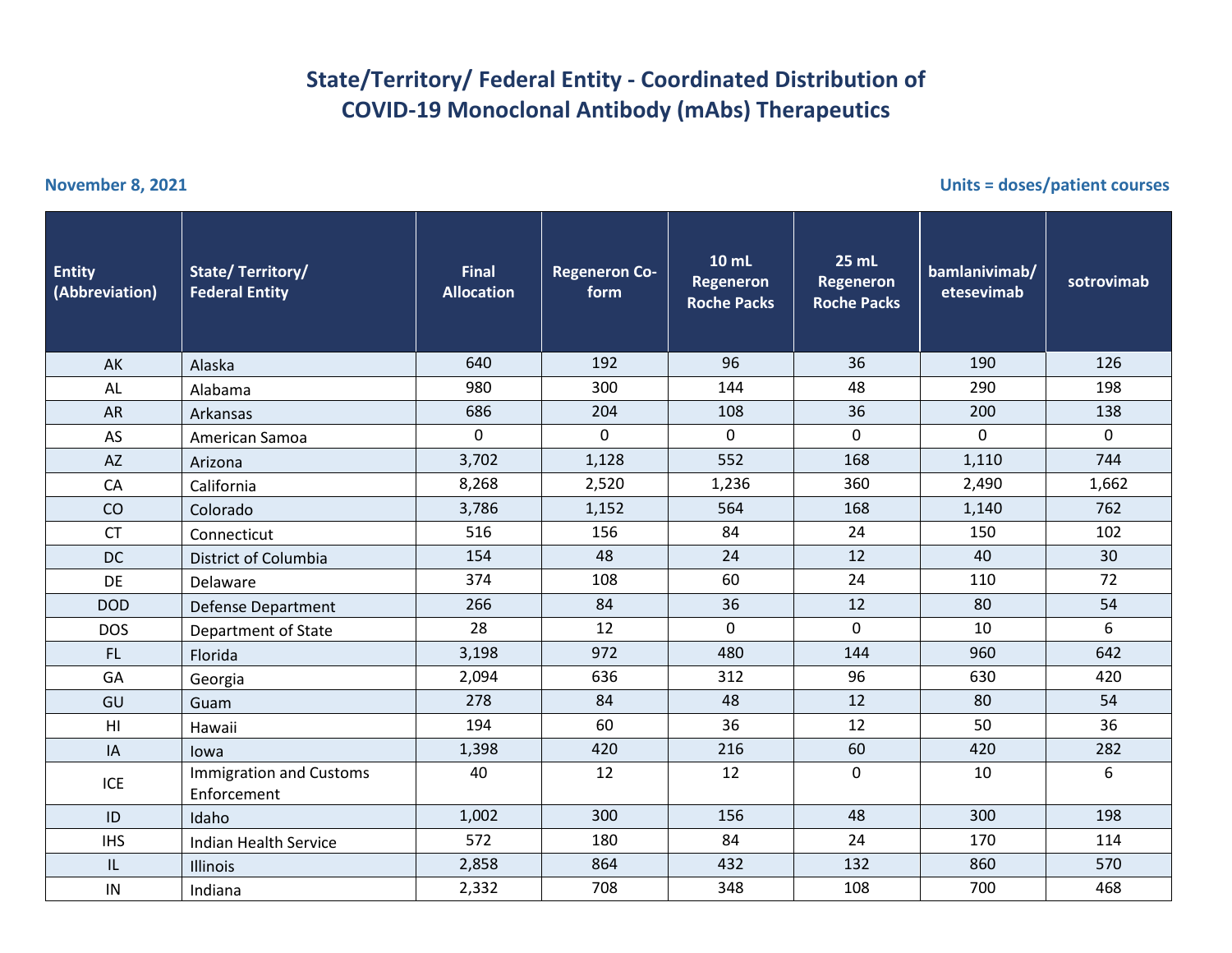## **State/Territory/ Federal Entity - Coordinated Distribution of COVID-19 Monoclonal Antibody (mAbs) Therapeutics**

**November 8, 2021 Units = doses/patient courses**

| <b>Entity</b><br>(Abbreviation) | <b>State/Territory/</b><br><b>Federal Entity</b> | <b>Final</b><br><b>Allocation</b> | <b>Regeneron Co-</b><br>form | 10 mL<br>Regeneron<br><b>Roche Packs</b> | 25 mL<br>Regeneron<br><b>Roche Packs</b> | bamlanivimab/<br>etesevimab | sotrovimab  |
|---------------------------------|--------------------------------------------------|-----------------------------------|------------------------------|------------------------------------------|------------------------------------------|-----------------------------|-------------|
| AK                              | Alaska                                           | 640                               | 192                          | 96                                       | 36                                       | 190                         | 126         |
| AL                              | Alabama                                          | 980                               | 300                          | 144                                      | 48                                       | 290                         | 198         |
| <b>AR</b>                       | Arkansas                                         | 686                               | 204                          | 108                                      | 36                                       | 200                         | 138         |
| AS                              | American Samoa                                   | $\mathbf 0$                       | 0                            | $\pmb{0}$                                | $\mathsf{O}$                             | $\mathbf 0$                 | $\mathbf 0$ |
| <b>AZ</b>                       | Arizona                                          | 3,702                             | 1,128                        | 552                                      | 168                                      | 1,110                       | 744         |
| CA                              | California                                       | 8,268                             | 2,520                        | 1,236                                    | 360                                      | 2,490                       | 1,662       |
| CO                              | Colorado                                         | 3,786                             | 1,152                        | 564                                      | 168                                      | 1,140                       | 762         |
| <b>CT</b>                       | Connecticut                                      | 516                               | 156                          | 84                                       | 24                                       | 150                         | 102         |
| <b>DC</b>                       | District of Columbia                             | 154                               | 48                           | 24                                       | 12                                       | 40                          | 30          |
| DE                              | Delaware                                         | 374                               | 108                          | 60                                       | 24                                       | 110                         | 72          |
| <b>DOD</b>                      | <b>Defense Department</b>                        | 266                               | 84                           | 36                                       | 12                                       | 80                          | 54          |
| <b>DOS</b>                      | Department of State                              | 28                                | 12                           | $\mathbf 0$                              | $\Omega$                                 | 10                          | 6           |
| FL.                             | Florida                                          | 3,198                             | 972                          | 480                                      | 144                                      | 960                         | 642         |
| GA                              | Georgia                                          | 2,094                             | 636                          | 312                                      | 96                                       | 630                         | 420         |
| GU                              | Guam                                             | 278                               | 84                           | 48                                       | 12                                       | 80                          | 54          |
| H <sub>l</sub>                  | Hawaii                                           | 194                               | 60                           | 36                                       | 12                                       | 50                          | 36          |
| IA                              | lowa                                             | 1,398                             | 420                          | 216                                      | 60                                       | 420                         | 282         |
| ICE                             | <b>Immigration and Customs</b><br>Enforcement    | 40                                | 12                           | 12                                       | $\mathbf 0$                              | 10                          | 6           |
| ID                              | Idaho                                            | 1,002                             | 300                          | 156                                      | 48                                       | 300                         | 198         |
| <b>IHS</b>                      | <b>Indian Health Service</b>                     | 572                               | 180                          | 84                                       | 24                                       | 170                         | 114         |
| IL                              | Illinois                                         | 2,858                             | 864                          | 432                                      | 132                                      | 860                         | 570         |
| IN                              | Indiana                                          | 2,332                             | 708                          | 348                                      | 108                                      | 700                         | 468         |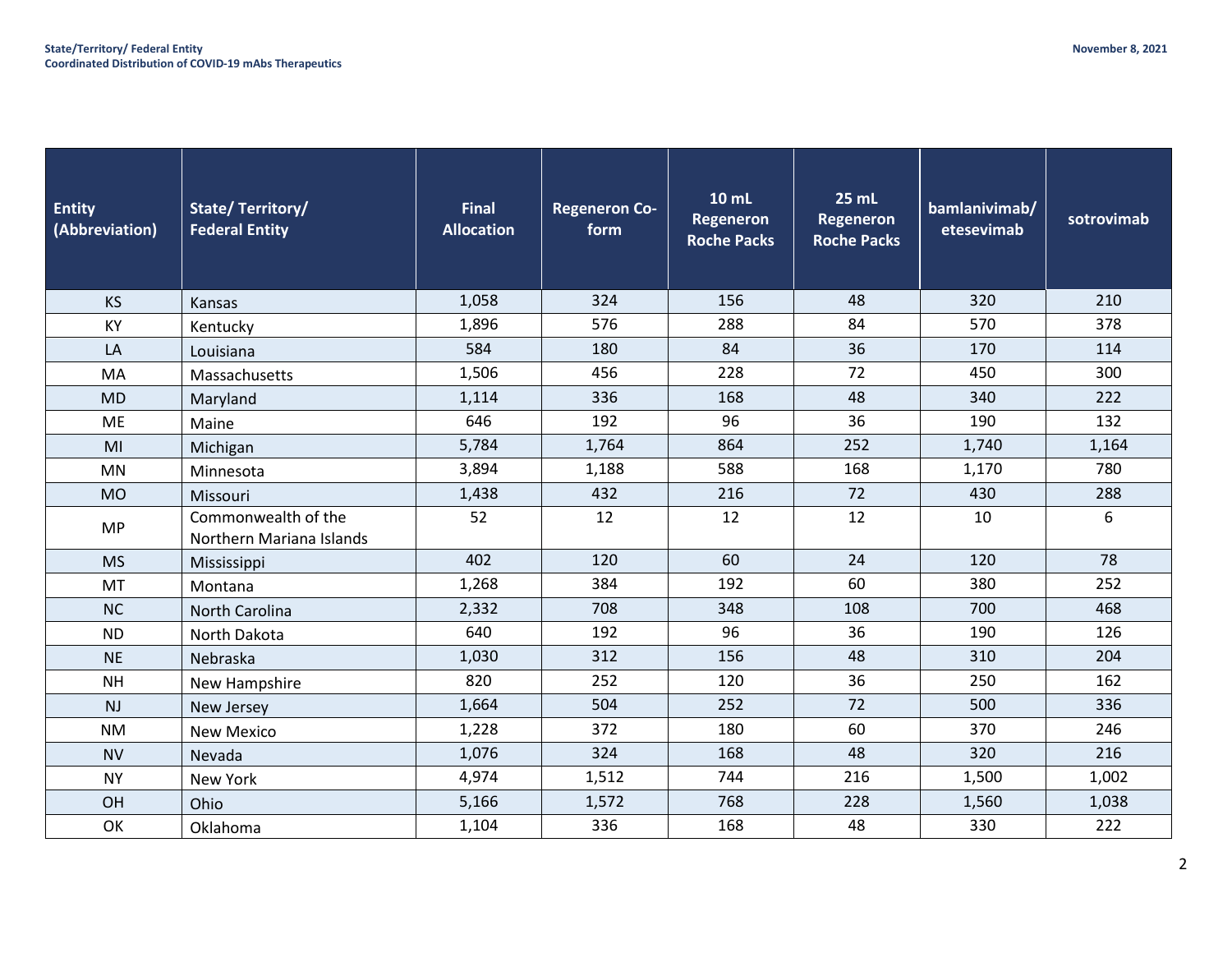| <b>Entity</b><br>(Abbreviation) | State/Territory/<br><b>Federal Entity</b>       | <b>Final</b><br><b>Allocation</b> | <b>Regeneron Co-</b><br>form | 10 mL<br><b>Regeneron</b><br><b>Roche Packs</b> | <b>25 mL</b><br><b>Regeneron</b><br><b>Roche Packs</b> | bamlanivimab/<br>etesevimab | sotrovimab |
|---------------------------------|-------------------------------------------------|-----------------------------------|------------------------------|-------------------------------------------------|--------------------------------------------------------|-----------------------------|------------|
| <b>KS</b>                       | Kansas                                          | 1,058                             | 324                          | 156                                             | 48                                                     | 320                         | 210        |
| KY                              | Kentucky                                        | 1,896                             | 576                          | 288                                             | 84                                                     | 570                         | 378        |
| LA                              | Louisiana                                       | 584                               | 180                          | 84                                              | 36                                                     | 170                         | 114        |
| MA                              | Massachusetts                                   | 1,506                             | 456                          | 228                                             | 72                                                     | 450                         | 300        |
| <b>MD</b>                       | Maryland                                        | 1,114                             | 336                          | 168                                             | 48                                                     | 340                         | 222        |
| ME                              | Maine                                           | 646                               | 192                          | 96                                              | 36                                                     | 190                         | 132        |
| MI                              | Michigan                                        | 5,784                             | 1,764                        | 864                                             | 252                                                    | 1,740                       | 1,164      |
| <b>MN</b>                       | Minnesota                                       | 3,894                             | 1,188                        | 588                                             | 168                                                    | 1,170                       | 780        |
| <b>MO</b>                       | Missouri                                        | 1,438                             | 432                          | 216                                             | 72                                                     | 430                         | 288        |
| <b>MP</b>                       | Commonwealth of the<br>Northern Mariana Islands | 52                                | 12                           | 12                                              | 12                                                     | 10                          | 6          |
| <b>MS</b>                       | Mississippi                                     | 402                               | 120                          | 60                                              | 24                                                     | 120                         | 78         |
| MT                              | Montana                                         | 1,268                             | 384                          | 192                                             | 60                                                     | 380                         | 252        |
| <b>NC</b>                       | <b>North Carolina</b>                           | 2,332                             | 708                          | 348                                             | 108                                                    | 700                         | 468        |
| <b>ND</b>                       | North Dakota                                    | 640                               | 192                          | 96                                              | 36                                                     | 190                         | 126        |
| <b>NE</b>                       | Nebraska                                        | 1,030                             | 312                          | 156                                             | 48                                                     | 310                         | 204        |
| <b>NH</b>                       | New Hampshire                                   | 820                               | 252                          | 120                                             | 36                                                     | 250                         | 162        |
| <b>NJ</b>                       | New Jersey                                      | 1,664                             | 504                          | 252                                             | 72                                                     | 500                         | 336        |
| <b>NM</b>                       | <b>New Mexico</b>                               | 1,228                             | 372                          | 180                                             | 60                                                     | 370                         | 246        |
| <b>NV</b>                       | Nevada                                          | 1,076                             | 324                          | 168                                             | 48                                                     | 320                         | 216        |
| <b>NY</b>                       | New York                                        | 4,974                             | 1,512                        | 744                                             | 216                                                    | 1,500                       | 1,002      |
| OH                              | Ohio                                            | 5,166                             | 1,572                        | 768                                             | 228                                                    | 1,560                       | 1,038      |
| OK                              | Oklahoma                                        | 1,104                             | 336                          | 168                                             | 48                                                     | 330                         | 222        |